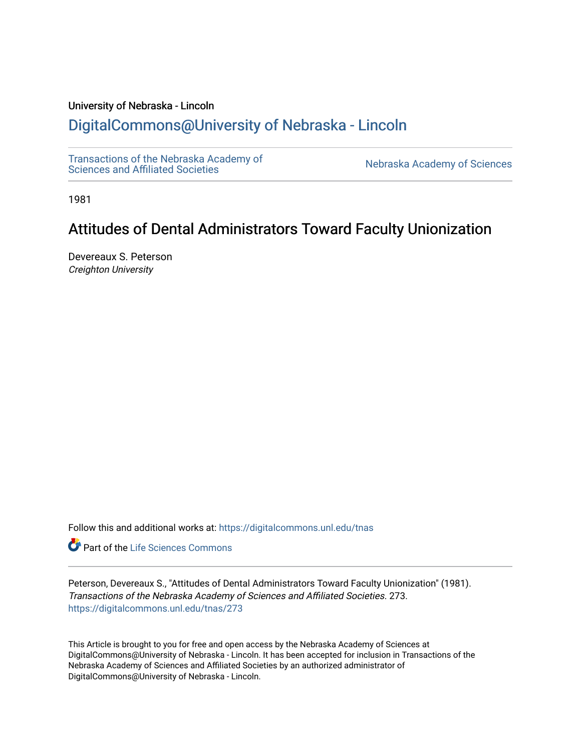## University of Nebraska - Lincoln

## [DigitalCommons@University of Nebraska - Lincoln](https://digitalcommons.unl.edu/)

[Transactions of the Nebraska Academy of](https://digitalcommons.unl.edu/tnas) 

Nebraska Academy of Sciences

1981

# Attitudes of Dental Administrators Toward Faculty Unionization

Devereaux S. Peterson Creighton University

Follow this and additional works at: [https://digitalcommons.unl.edu/tnas](https://digitalcommons.unl.edu/tnas?utm_source=digitalcommons.unl.edu%2Ftnas%2F273&utm_medium=PDF&utm_campaign=PDFCoverPages) 

Part of the [Life Sciences Commons](http://network.bepress.com/hgg/discipline/1016?utm_source=digitalcommons.unl.edu%2Ftnas%2F273&utm_medium=PDF&utm_campaign=PDFCoverPages) 

Peterson, Devereaux S., "Attitudes of Dental Administrators Toward Faculty Unionization" (1981). Transactions of the Nebraska Academy of Sciences and Affiliated Societies. 273. [https://digitalcommons.unl.edu/tnas/273](https://digitalcommons.unl.edu/tnas/273?utm_source=digitalcommons.unl.edu%2Ftnas%2F273&utm_medium=PDF&utm_campaign=PDFCoverPages) 

This Article is brought to you for free and open access by the Nebraska Academy of Sciences at DigitalCommons@University of Nebraska - Lincoln. It has been accepted for inclusion in Transactions of the Nebraska Academy of Sciences and Affiliated Societies by an authorized administrator of DigitalCommons@University of Nebraska - Lincoln.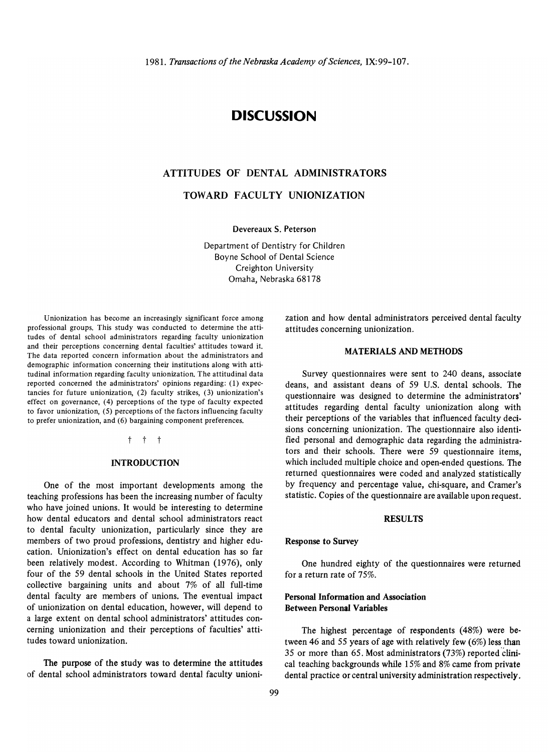## **DISCUSSION**

## ATTITUDES OF DENTAL ADMINISTRATORS

TOWARD FACULTY UNIONIZATION

Devereaux S. Peterson

Department of Dentistry for Children Boyne School of Dental Science Creighton University Omaha, Nebraska 68178

Unionization has become an increasingly significant force among professional groups. This study was conducted to determine the attitudes of dental school administrators regarding faculty unionization and their perceptions concerning dental faculties' attitudes toward it. The data reported concern information about the administrators and demographic information concerning their institutions along with attitudinal information regarding faculty unionization. The attitudinal data reported concerned the administrators' opinions regarding: (1) expectancies for future unionization, (2) faculty strikes, (3) unionization's effect on governance, (4) perceptions of the type of faculty expected to favor unionization, (5) perceptions of the factors influencing faculty to prefer unionization, and (6) bargaining component preferences.

## t t t

## **INTRODUCTION**

One of the most important developments among the teaching professions has been the increasing number of faculty who have joined unions. It would be interesting to determine how dental educators and dental school administrators react to dental faculty unionization, particularly since they are members of two proud professions, dentistry and higher education. Unionization's effect on dental education has so far been relatively modest. According to Whitman (1976), only four of the 59 dental schools in the United States reported collective bargaining units and about 7% of all full-time dental faculty are members of unions. The eventual impact of unionization on dental education, however, will depend to a large extent on dental school administrators' attitudes con· cerning unionization and their perceptions of faculties' atti· tudes toward unionization.

The purpose of the study was to determine the attitudes of dental school administrators toward dental faculty unionization and how dental administrators perceived dental faculty attitudes concerning unionization.

#### MATERIALS AND METHODS

Survey questionnaires were sent to 240 deans, associate deans, and assistant deans of 59 U.S. dental schools. The questionnaire was designed to determine the administrators' attitudes regarding dental faculty unionization along with their perceptions of the variables that influenced faculty decisions concerning unionization. The questionnaire also identified personal and demographic data regarding the administrators and their schools. There were 59 questionnaire items, which included multiple choice and open-ended questions. The returned questionnaires were coded and analyzed statistically by frequency and percentage value, chi-square, and Cramer's statistic. Copies of the questionnaire are available upon request.

#### RESULTS

#### Response to Survey

One hundred eighty of the questionnaires were returned for a return rate of 75%.

## Personal Information and Association Between Personal Variables

The highest percentage of respondents (48%) were between 46 and 55 years of age with relatively few (6%) less than 35 or more than 65. Most administrators (73%) reported 'clinical teaching backgrounds while 15% and 8% came from private dental practice or central university administration respectively.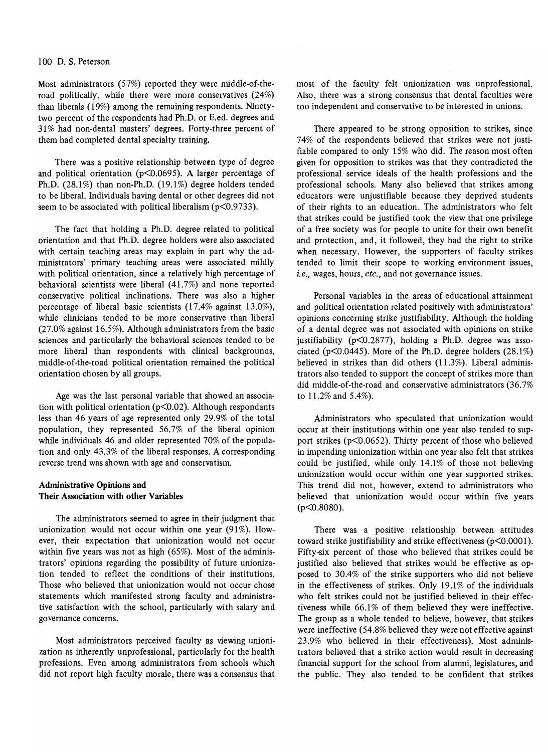Most administrators (57%) reported they were middle-of-theroad politically, while there were more conservatives (24%) than liberals (19%) among the remaining respondents. Ninetytwo percent of the respondents had Ph.D. or E.ed. degrees and 31 % had non-dental masters' degrees. Forty-three percent of them had completed dental specialty training.

There was a positive relationship between type of degree and political orientation (p<0.0695). A larger percentage of Ph.D. (28.1%) than non-Ph.D. (19.1%) degree holders tended to be liberal. Individuals having dental or other degrees did not seem to be associated with political liberalism (p<0.9733).

The fact that holding a Ph.D. degree related to political orientation and that Ph.D. degree holders were also associated with certain teaching areas may explain in part why the administrators' primary teaching areas were associated mildly with political orientation, since a relatively high percentage of behavioral scientists were liberal (41.7%) and none reported conservative political inclinations. There was also a higher percentage of liberal basic scientists (17.4% against 13.0%), while clinicians tended to be more conservative than liberal (27.0% against 16.5%). Although administrators from the basic sciences and particularly the behavioral sciences tended to be more liberal than respondents with clinical backgrounas, middle-of-the-road political orientation remained the political orientation chosen by all groups.

Age was the last personal variable that showed an association with political orientation (p<0.02). Although respondants less than 46 years of age represented only 29.9% of the total population, they represented 56.7% of the liberal opinion while individuals 46 and older represented 70% of the population and only 43.3% of the liberal responses. A corresponding reverse trend was shown with age and conservatism.

## Administrative Opinions and Their Association with other Variables

The administrators seemed to agree in their judgment that unionization would not occur within one year (91%). However, their expectation that unionization would not occur within five years was not as high (65%). Most of the administrators' opinions regarding the possibility of future unionization tended to reflect the conditions of their institutions. Those who believed that unionization would not occur chose statements which manifested strong faculty and administrative satisfaction with the school, particularly with salary and governance concerns.

Most administrators perceived faculty as viewing unionization as inherently unprofessional, particularly for the health professions. Even among administrators from schools which did not report high faculty morale, there was a consensus that most of the faculty felt unionization was unprofessional. Also, there was a strong consensus that dental faculties were too independent and conservative to be interested in unions.

There appeared to be strong opposition to strikes, since 74% of the respondents believed that strikes were not justifiable compared to only 15% who did. The reason most often given for opposition to strikes was that they contradicted the professional service ideals of the health professions and the professional schools. Many also believed that strikes among educators were unjustifiable because they deprived students of their rights to an education. The administrators who felt that strikes could be justified took the view that one privilege of a free society was for people to unite for their own benefit and protection, and, it followed, they had the right to strike when necessary. However, the supporters of faculty strikes tended to limit their scope to working environment issues, *i.e.,* wages, hours, *etc.,* and not governance issues.

Personal variables in the areas of educational attainment and political orientation related positively with administrators' opinions concerning strike justifiability. Although the holding of a dental degree was not associated with opinions on strike justifiability ( $p<0.2877$ ), holding a Ph.D. degree was associated ( $p<0.0445$ ). More of the Ph.D. degree holders (28.1%) believed in strikes than did others (11.3%). Liberal administrators also tended to support the concept of strikes more than did middle-of-the-road and conservative administrators (36.7% to 11.2% and 5.4%).

Administrators who speculated that unionization would occur at their institutions within one year also tended to support strikes (p<0.0652). Thirty percent of those who believed in impending unionization within one year also felt that strikes could be justified, while only 14.1% of those not believing unionization would occur within one year supported strikes. This trend did not, however, extend to administrators who believed that unionization would occur within five years (p<0.8080).

There was a positive relationship between attitudes toward strike justifiability and strike effectiveness (p<0.0001). Fifty-six percent of those who believed that strikes could be justified also believed that strikes would be effective as opposed to 30.4% of the strike supporters who did not believe in the effectiveness of strikes. Only 19.1% of the individuals who felt strikes could not be justified believed in their effectiveness while  $66.1\%$  of them believed they were ineffective. The group as a whole tended to believe, however, that strikes were ineffective (54.8% believed they were not effective against 23.9% who believed in their effectiveness). Most administrators believed that a strike action would result in decreasing financial support for the school from alumni, legislatures, and the public. They also tended to be confident that strikes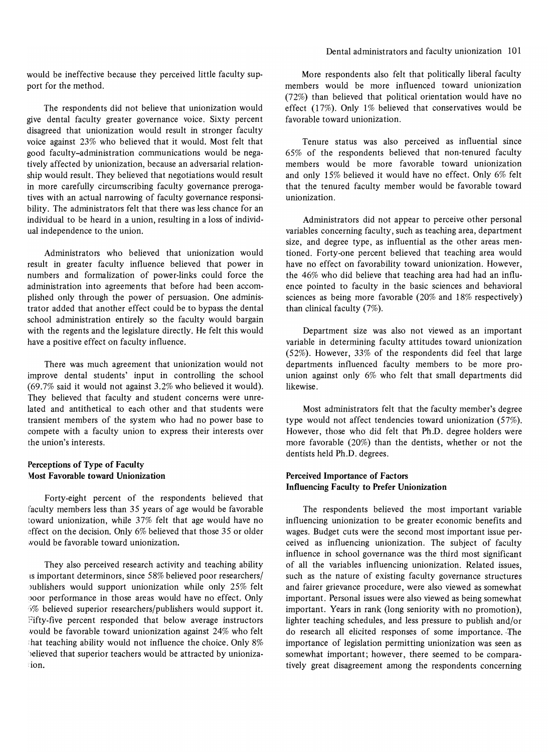would be ineffective because they perceived little faculty support for the method.

The respondents did not believe that unionization would give dental faculty greater governance voice. Sixty percent disagreed that unionization would result in stronger faculty voice against 23% who believed that it would. Most felt that good faculty-administration communications would be negatively affected by unionization, because an adversarial relationship would result. They believed that negotiations would result in more carefully circumscribing faculty governance prerogatives with an actual narrowing of faculty governance responsibility. The administrators felt that there was less chance for an individual to be heard in a union, resulting in a loss of individual independence to the union.

Administrators who believed that unionization would result in greater faculty influence believed that power in numbers and formalization of power-links could force the administration into agreements that before had been accomplished only through the power of persuasion. One administrator added that another effect could be to bypass the dental school administration entirely so the faculty would bargain with the regents and the legislature directly. He felt this would have a positive effect on faculty influence.

There was much agreement that unionization would not improve dental students' input in controlling the school (69.7% said it would not against 3.2% who believed it would). They believed that faculty and student concerns were unrelated and antithetical to each other and that students were transient members of the system who had no power base to compete with a faculty union to express their interests over the union's interests.

## **Perceptions of Type of Faculty \1ost Favorable toward Unionization**

Forty-eight percent of the respondents believed that faculty members less than 35 years of age would be favorable toward unionization, while 37% felt that age would have no effect on the decision. Only 6% believed that those 35 or older would be favorable toward unionization.

They also perceived research activity and teaching ability is important determinors, since 58% believed poor researchers/ publishers would support unionization while only 25% felt ooor performance in those areas would have no effect. Only 5% believed superior researchers/publishers would support it. Fifty-five percent responded that below average instructors would be favorable toward unionization against 24% who felt hat teaching ability would not influence the choice. Only 8% ')elieved that superior teachers would be attracted by unionizaion.

More respondents also felt that politically liberal faculty members would be more influenced toward unionization (72%) than believed that political orientation would have no effect (17%). Only  $1\%$  believed that conservatives would be favorable toward unionization.

Tenure status was also perceived as influential since 65% of the respondents believed that non-tenured faculty members would be more favorable toward unionization and only 15% believed it would have no effect. Only 6% felt that the tenured faculty member would be favorable toward unionization.

Administrators did not appear to perceive other personal variables concerning faculty, such as teaching area, department size, and degree type, as influential as the other areas mentioned. Forty-one percent believed that teaching area would have no effect on favorability toward unionization. However, the 46% who did believe that teaching area had had an influence pointed to faculty in the basic sciences and behavioral sciences as being more favorable (20% and 18% respectively) than clinical faculty (7%).

Department size was also not viewed as an important variable in determining faculty attitudes toward unionization (52%). However, 33% of the respondents did feel that large departments influenced faculty members to be more prounion against only 6% who felt that small departments did likewise.

Most administrators felt that the faculty member's degree type would not affect tendencies toward unionization (57%). However, those who did felt that Ph.D. degree holders were more favorable (20%) than the dentists, whether or not the dentists held Ph.D. degrees.

## **Perceived Importance of Factors Influencing Faculty to Prefer Unionization**

The respondents believed the most important variable influencing unionization to be greater economic benefits and wages. Budget cuts were the second most important issue perceived as influencing unionization. The subject of faculty influence in school governance was the third most significant of all the variables influencing unionization. Related issues, such as the nature of existing faculty governance structures and fairer grievance procedure, were also viewed as somewhat important. Personal issues were also viewed as being somewhat important. Years in rank (long seniority with no promotion), lighter teaching schedules, and less pressure to publish and/or do research all elicited responses of some importance. ·The importance of legislation permitting unionization was seen as somewhat important; however, there seemed to be comparatively great disagreement among the respondents concerning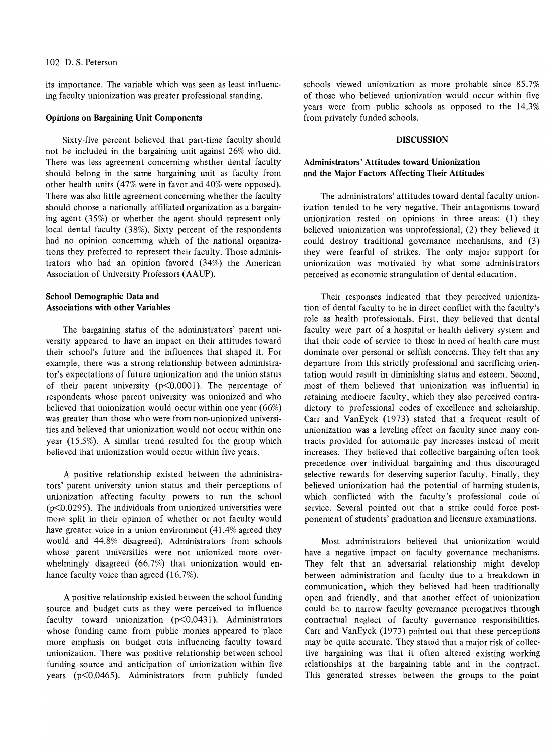its importance. The variable which was seen as least influencing faculty unionization was greater professional standing.

#### Opinions on Bargaining Unit Components

Sixty-five percent believed that part-time faculty should not be included in the bargaining unit against 26% who did. There was less agreement concerning whether dental faculty should belong in the same bargaining unit as faculty from other health units (47% were in favor and 40% were opposed). There was also little agreement concerning whether the faculty should choose a nationally affiliated organization as a bargaining agent (35%) or whether the agent should represent only local dental faculty (38%). Sixty percent of the respondents had no opinion concerning which of the national organizations they preferred to represent their faculty. Those administrators who had an opinion favored (34%) the American Association of University Professors (AAUP).

## School Demographic Data and Associations with other Variables

The bargaining status of the administrators' parent university appeared to have an impact on their attitudes toward their school's future and the influences that shaped it. For example, there was a strong relationship between administrator's expectations of future unionization and the union status of their parent university ( $p \le 0.0001$ ). The percentage of respondents whose parent university was unionized and who believed that unionization would occur within one year (66%) was greater than those who were from non-unionized universities and believed that unionization would not occur within one year (15.5%). A similar trend resulted for the group which believed that unionization would occur within five years.

A positive relationship existed between the administrators' parent university union status and their perceptions of unionization affecting faculty powers to run the school ( $p$ <0.0295). The individuals from unionized universities were more split in their opinion of whether or not faculty would have greater voice in a union environment (41.4% agreed they would and 44.8% disagreed). Administrators from schools whose parent universities were not unionized more over· whelmingly disagreed (66.7%) that unionization would enhance faculty voice than agreed (16.7%).

A positive relationship existed between the school funding source and budget cuts as they were perceived to influence faculty toward unionization  $(p<0.0431)$ . Administrators whose funding came from public monies appeared to place more emphasis on budget cuts influencing faculty toward unionization. There was positive relationship between school funding source and anticipation of unionization within five years (p<0.0465). Administrators from publicly funded schools viewed unionization as more probable since 85.7% of those who believed unionization would occur within five years were from public schools as opposed to the 14.3% from privately funded schools.

## DISCUSSION

## Administrators' Attitudes toward Unionization and the Major Factors Affecting Their Attitudes

The administrators' attitudes toward dental faculty unionization tended to be very negative. Their antagonisms toward unionization rested on opinions in three areas: (1) they believed unionization was unprofessional, (2) they believed it could destroy traditional governance mechanisms, and (3) they were fearful of strikes. The only major support for unionization was motivated by what some administrators perceived as economic strangulation of dental education.

Their responses indicated that they perceived unionization of dental faculty to be in direct conflict with the faculty's role as health professionals. First, they believed that dental faculty were part of a hospital or health delivery system and that their code of service to those in need of health care must dominate over personal or selfish concerns. They felt that any departure from this strictly professional and sacrificing orien· tation would result in diminishing status and esteem. Second, most of them believed that unionization was influential in retaining mediocre faculty, which they also perceived contra· dictory to professional codes of excellence and scholarship. Carr and VanEyck (1973) stated that a frequent result of unionization was a leveling effect on faculty since many contracts provided for automatic pay increases instead of merit increases. They believed that collective bargaining often took precedence over individual bargaining and thus discouraged selective rewards for deserving superior faculty. Finally, they believed unionization had the potential of harming students, which conflicted with the faculty's professional code of service. Several pointed out that a strike could force postponement of students' graduation and licensure examinations.

Most administrators believed that unionization would have a negative impact on faculty governance mechanisms. They felt that an adversarial relationship might develop between administration and faculty due to a breakdown in communication, which they believed had been traditionally open and friendly, and that another effect of unionization could be to narrow faculty governance prerogatives through contractual neglect of faculty governance responsibilities. Carr and VanEyck (1973) pointed out that these perceptions may be quite accurate. They stated that a major risk of collective bargaining was that it often altered existing working relationships at the bargaining table and in the contract. This generated stresses between the groups to the point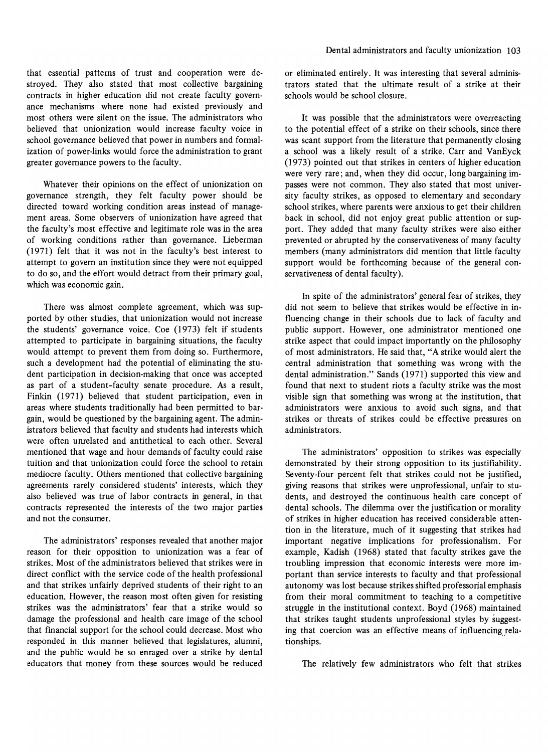that essential patterns of trust and cooperation were destroyed. They also stated that most collective bargaining contracts in higher education did not create faculty governance mechanisms where none had existed previously and most others were silent on the issue. The administrators who believed that unionization would increase faculty voice in school governance believed that power in numbers and formalization of power-links would force the administration to grant greater governance powers to the faculty.

Whatever their opinions on the effect of unionization on governance strength, they felt faculty power should be directed toward working condition areas instead of management areas. Some observers of unionization have agreed that the faculty's most effective and legitimate role was in the area of working conditions rather than governance. Lieberman (1971) felt that it was not in the faculty's best interest to attempt to govern an institution since they were not equipped to do so, and the effort would detract from their primary goal, which was economic gain.

There was almost complete agreement, which was supported by other studies, that unionization would not increase the students' governance voice. Coe (1973) felt if students attempted to participate in bargaining situations, the faculty would attempt to prevent them from doing so. Furthermore, such a development had the potential of eliminating the student participation in decision-making that once was accepted as part of a student-faculty senate procedure. As a result, Finkin (1971) believed that student participation, even in areas where students traditionally had been permitted to bargain, would be questioned by the bargaining agent. The administrators believed that faculty and students had interests which were often unrelated and antithetical to each other. Several mentioned that wage and hour demands of faculty could raise tuition and that unionization could force the school to retain mediocre faculty. Others mentioned that collective bargaining agreements rarely considered students' interests, which they also believed was true of labor contracts in general, in that contracts represented the interests of the two major parties and not the consumer.

The administrators' responses revealed that another major reason for their opposition to unionization was a fear of strikes. Most of the administrators believed that strikes were in direct conflict with the service code of the health professional and that strikes unfairly deprived students of their right to an education. However, the reason most often given for resisting strikes was the administrators' fear that a strike would so damage the professional and health care image of the school that fmancial support for the school could decrease. Most who responded in this manner believed that legislatures, alumni, and the public would be so enraged over a strike by dental educators that money from these sources would be reduced

or eliminated entirely. It was interesting that several administrators stated that the ultimate result of a strike at their schools would be school closure.

It was possible that the administrators were overreacting to the potential effect of a strike on their schools, since there was scant support from the literature that permanently closing a school was a likely result of a strike. Carr and VanEyck (1973) pointed out that strikes in centers of higher education were very rare; and, when they did occur, long bargaining impasses were not common. They also stated that most university faculty strikes, as opposed to elementary and secondary school strikes, where parents were anxious to get their children back in school, did not enjoy great public attention or support. They added that many faculty strikes were also either prevented or abrupted by the conservativeness of many faculty members (many administrators did mention that little faculty support would be forthcoming because of the general conservativeness of dental faculty).

In spite of the administrators' general fear of strikes, they did not seem to believe that strikes would be effective in influencing change in their schools due to lack of faculty and public support. However, one administrator mentioned one strike aspect that could impact importantly on the philosophy of most administrators. He said that, "A strike would alert the central administration that something was wrong with the dental administration." Sands (1971) supported this view and found that next to student riots a faculty strike was the most visible sign that something was wrong at the institution, that administrators were anxious to avoid such signs, and that strikes or threats of strikes could be effective pressures on administrators.

The administrators' opposition to strikes was especially demonstrated by their strong opposition to its justifiability. Seventy-four percent felt that strikes could not be justified, giving reasons that strikes were unprofessional, unfair to students, and destroyed the continuous health care concept of dental schools. The dilemma over the justification or morality of strikes in higher education has received considerable attention in the literature, much of it suggesting that strikes had important negative implications for professionalism. For example, Kadish (1968) stated that faculty strikes gave the troubling impression that economic interests were more important than service interests to faculty and that professional autonomy was lost because strikes shifted professorial emphasis from their moral commitment to teaching to a competitive struggle in the institutional context. Boyd (1968) maintained that strikes taught students unprofessional styles by suggesting that coercion was an effective means of influencing relationships.

The relatively few administrators who felt that strikes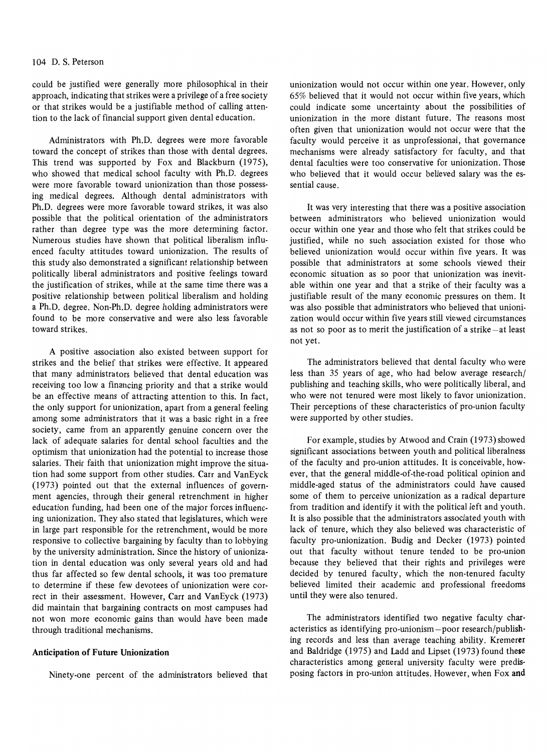could be justified were generally more philosophical in their approach, indicating that strikes were a privilege of a free society or that strikes would be a justifiable method of calling attention to the lack of financial support given dental education.

Administrators with Ph.D. degrees were more favorable toward the concept of strikes than those with dental degrees. This trend was supported by Fox and Blackburn (1975), who showed that medical school faculty with Ph.D. degrees were more favorable toward unionization than those possessing medical degrees. Although dental administrators with Ph.D. degrees were more favorable toward strikes, it was also possible that the political orientation of the administrators rather than degree type was the more determining factor. Numerous studies have shown that political liberalism influenced faculty attitudes toward unionization. The results of this study also demonstrated a significant relationship between politically liberal administrators and positive feelings toward the justification of strikes, while at the same time there was a positive relationship between political liberalism and holding a Ph.D. degree. Non-Ph.D. degree holding administrators were found to be more conservative and were also less favorable toward strikes.

A positive association also existed between support for strikes and the belief that strikes were effective. It appeared that many administrators believed that dental education was receiving too Iowa financing priority and that a strike would be an effective means of attracting attention to this. In fact, the only support for unionization, apart from a general feeling among some administrators that it was a basic right in a free society, came from an apparently genuine concern over the lack of adequate salaries for dental school faculties and the optimism that unionization had the potential to increase those salaries. Their faith that unionization might improve the situation had some support from other studies. Carr and VanEyck (1973) pointed out that the external influences of government agencies, through their general retrenchment in higher education funding, had been one of the major forces influencing unionization. They also stated that legislatures, which were in large part responsible for the retrenchment, would be more responsive to collective bargaining by faculty than to lobbying by the university administration. Since the history of unionization in dental education was only several years old and had thus far affected so few dental schools, it was too premature to determine if these few devotees of unionization were correct in their assessment. However, Carr and VanEyck (1973) did maintain that bargaining contracts on most campuses had not won more economic gains than would have been made through traditional mechanisms.

#### Anticipation of Future Unionization

Ninety-one percent of the administrators believed that

unionization would not occur within one year. However, only 65% believed that it would not occur within five years, which could indicate some uncertainty about the possibilities of unionization in the more distant future. The reasons most often given that unionization would not occur were that the faculty would perceive it as unprofessional, that governance mechanisms were already satisfactory for faculty, and that dental faculties were too conservative for unionization. Those who believed that it would occur believed salary was the essential cause.

It was very interesting that there was a positive association between administrators who believed unionization would occur within one year and those who felt that strikes could be justified, while no such association existed for those who believed unionization would occur within five years. It was possible that administrators at some schools viewed their economic situation as so poor that unionization was inevitable within one year and that a strike of their faculty was a justifiable result of the many economic pressures on them. It was also possible that administrators who believed that unionization would occur within five years still viewed circumstances as not so poor as to merit the justification of a strike  $-$ at least not yet.

The administrators believed that dental faculty who were less than 35 years of age, who had below average research/ publishing and teaching skills, who were politically liberal, and who were not tenured were most likely to favor unionization. Their perceptions of these characteristics of pro-union faculty were supported by other studies.

For example, studies by Atwood and Crain (1973) showed significant associations between youth and political liberalness of the faculty and pro-union attitudes. It is conceivable, however, that the general middle-of-the-road political opinion and middle-aged status of the administrators could have caused some of them to perceive unionization as a radical departure from tradition and identify it with the political left and youth. It is also possible that the administrators associated youth with lack of tenure, which they also believed was characteristic of faculty pro-unionization. Budig and Decker (1973) pointed out that faculty without tenure tended to be pro-union because they believed that their rights and privileges were decided by tenured faculty, which the non-tenured faculty believed limited their academic and professional freedoms until they were also tenured.

The administrators identified two negative faculty characteristics as identifying pro-unionism-poor research/publishing records and less than average teaching ability. Kremerer and Baldridge (1975) and Ladd and Lipset (1973) found these characteristics among general university faculty were predisposing factors in pro-union attitudes. However, when Fox and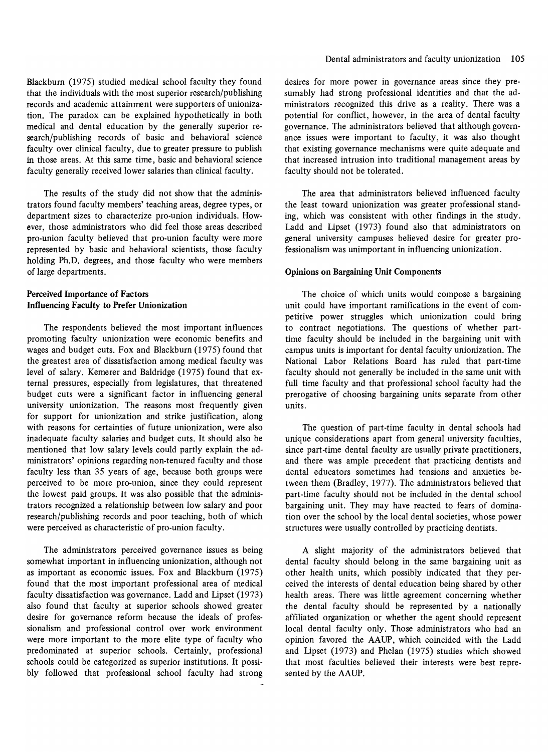Blackburn (1975) studied medical school faculty they found that the individuals with the most superior research/publishing records and academic attainment were supporters of unionization. The paradox can be explained hypothetically in both medical and dental education by the generally superior research/publishing records of basic and behavioral science faculty over clinical faculty, due to greater pressure to publish in those areas. At this same time, basic and behavioral science faculty generally received lower salaries than clinical faculty.

The results of the study did not show that the administrators found faculty members' teaching areas, degree types, or department sizes to characterize pro-union individuals. However, those administrators who did feel those areas described pro-union faculty believed that pro-union faculty were more represented by basic and behavioral scientists, those faculty holding Ph.D. degrees, and those faculty who were members of large departments.

## Perceived Importance of Factors Influencing Faculty to Prefer Unionization

The respondents believed the most important influences promoting faculty unionization were economic benefits and wages and budget cuts. Fox and Blackburn (1975) found that the greatest area of dissatisfaction among medical faculty was level of salary. Kemerer and Baldridge (1975) found that external pressures, especially from legislatures, that threatened budget cuts were a significant factor in influencing general university unionization. The reasons most frequently given for support for unionization and strike justification, along with reasons for certainties of future unionization, were also inadequate faculty salaries and budget cuts. It should also be mentioned that low salary levels could partly explain the administrators' opinions regarding non-tenured faculty and those faculty less than 35 years of age, because both groups were perceived to be more pro-union, since they could represent the lowest paid groups. It was also possible that the administrators recognized a relationship between low salary and poor research/publishing records and poor teaching, both of which were perceived as characteristic of pro-union faculty.

The administrators perceived governance issues as being somewhat important in influencing unionization, although not as important as economic issues. Fox and Blackburn (1975) found that the most important professional area of medical faculty dissatisfaction was governance. Ladd and Lipset (1973) also found that faculty at superior schools showed greater desire for governance reform because the ideals of professionalism and professional control over work environment were more important to the more elite type of faculty who predOminated at superior schools. Certainly, professional schools could be categorized as superior institutions. It possibly followed that professional school faculty had strong

desires for more power in governance areas since they presumably had strong professional identities and that the administrators recognized this drive as a reality. There was a potential for conflict, however, in the area of dental faculty governance. The administrators believed that although governance issues were important to faculty, it was also thought that existing governance mechanisms were quite adequate and that increased intrusion into traditional management areas by faculty should not be tolerated.

The area that administrators believed influenced faculty the least toward unionization was greater professional standing, which was consistent with other fmdings in the study. Ladd and Lipset (1973) found also that administrators on general university campuses believed desire for greater professionalism was unimportant in influencing unionization.

#### Opinions on Bargaining Unit Components

The choice of which units would compose a bargaining unit could have important ramifications in the event of competitive power struggles which unionization could bring to contract negotiations. The questions of whether parttime faculty should be included in the bargaining unit with campus units is important for dental faculty unionization. The National Labor Relations Board has ruled that part-time faculty should not generally be included in the same unit with full time faculty and that professional school faculty had the prerogative of choosing bargaining units separate from other units.

The question of part-time faculty in dental schools had unique considerations apart from general university faculties, since part-time dental faculty are usually private practitioners, and there was ample precedent that practicing dentists and dental educators sometimes had tensions and anxieties between them (Bradley, 1977). The administrators believed that part-time faculty should not be included in the dental school bargaining unit. They may have reacted to fears of domination over the school by the local dental societies, whose power structures were usually controlled by practicing dentists.

A slight majority of the administrators believed that dental faculty should belong in the same bargaining unit as other health units, which possibly indicated that they perceived the interests of dental education being shared by other health areas. There was little agreement concerning whether the dental faculty should be represented by a nationally afflliated organization or whether the agent should represent local dental faculty only. Those administrators who had an opinion favored the AAUP, which coincided with the Ladd and Upset (1973) and Phelan (1975) studies which showed that most faculties believed their interests were best represented by the AAUP.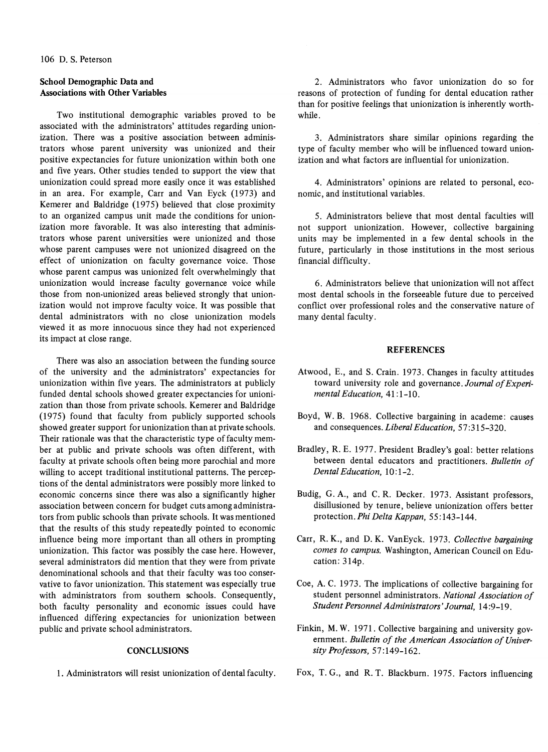## School Demographic Data and Associations with Other Variables

Two institutional demographic variables proved to be associated with the administrators' attitudes regarding unionization. There was a positive association between administrators whose parent university was unionized and their positive expectancies for future unionization within both one and five years. Other studies tended to support the view that unionization could spread more easily once it was established in an area. For example, Carr and Van Eyck (1973) and Kemerer and Baldridge (1975) believed that close proximity to an organized campus unit made the conditions for unionization more favorable. It was also interesting that administrators whose parent universities were unionized and those whose parent campuses were not unionized disagreed on the effect of unionization on faculty governance voice. Those whose parent campus was unionized felt overwhelmingly that unionization would increase faculty governance voice while those from non-unionized areas believed strongly that unionization would not improve faculty voice. It was possible that dental administrators with no close unionization models viewed it as more innocuous since they had not experienced its impact at close range.

There was also an association between the funding source of the university and the administrators' expectancies for unionization within five years. The administrators at publicly funded dental schools showed greater expectancies for unionization than those from private schools. Kemerer and Baldridge (1975) found that faculty from publicly supported schools showed greater support for unionization than at private schools. Their rationale was that the characteristic type of faculty member at public and private schools was often different, with faculty at private schools often being more parochial and more willing to accept traditional institutional patterns. The perceptions of the dental administrators were possibly more linked to economic concerns since there was also a significantly higher association between concern for budget cuts among administrators from public schools than private schools. It was mentioned that the results of this study repeatedly pointed to economic influence being more important than all others in prompting unionization. This factor was possibly the case here. However, several administrators did mention that they were from private denominational schools and that their faculty was too conservative to favor unionization. This statement was especially true with administrators from southern schools. Consequently, both faculty personality and economic issues could have influenced differing expectancies for unionization between public and private school administrators.

## **CONCLUSIONS**

1. Administrators will resist unionization of dental faculty.

2. Administrators who favor unionization do so for reasons of protection of funding for dental education rather than for positive feelings that unionization is inherently worthwhile.

3. Administrators share similar opinions regarding the type of faculty member who will be influenced toward unionization and what factors are influential for unionization.

4. Administrators' opinions are related to personal, economic, and institutional variables.

5. Administrators believe that most dental faculties will not support unionization. However, collective bargaining units may be implemented in a few dental schools in the future, particularly in those institutions in the most serious financial difficulty.

6. Administrators believe that unionization will not affect most dental schools in the forseeable future due to perceived conflict over professional roles and the conservative nature of many dental faculty.

#### **REFERENCES**

- Atwood, E., and S. Crain. 1973. Changes in faculty attitudes toward university role and governance. *Journal of Experimental Education,* 41: 1-10.
- Boyd, W. B. 1968. Collective bargaining in academe: causes and consequences. *Liberal Education,* 57 :315-320.
- Bradley, R. E. 1977. President Bradley's goal: better relations between dental educators and practitioners. *Bulletin of Dental Education,* 10:1-2.
- Budig, G. A., and C. R. Decker. 1973. Assistant professors, disillusioned by tenure, believe unionization offers better protection. *Phi Delta Kappan,* 55: 143-144.
- Carr, R. K., and D. K. VanEyck. 1973. *Collective bargaining comes to campus.* Washington, American Council on Education: 314p.
- Coe, A. C. 1973. The implications of collective bargaining for student personnel administrators. *National Association of Student Personnel Administrators' Journal,* 14 :9-19.
- Finkin, M. W. 1971. Collective bargaining and university government. *Bulletin of the American Association of University Professors,* 57:149-162.
- Fox, T. G., and R. T. Blackburn. 1975. Factors influencing